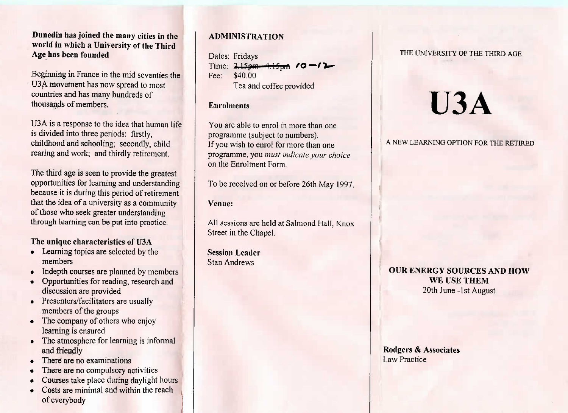# **Dunedin has joined the many cities in the world in** which **a University of the ThirdAge has been founded**

Beginning in France in the mid seventies theU3A movement has now spread to mostcountries and has many hundreds ofthousands of members.

USA is a response to the idea that human lifeis divided into three periods: firstly, childhood and schooling; secondly, childrearing and work, and unitally retirement.

The third age is seen to provide the greatest opportunities for learning and understanding because it is during this period of retirementthat the idea of a university as a communityof those who seek greater understandingthrough learning can be put into practice.

**The unique characteristics of U3A**

- Learning topics are selected by themembers
- Indepth courses are planned by members
- Opportunities for reading, research anddiscussion are provided
- $\mathbf{P}$  resemers/facilitators are usually members of the groups
- $\mathbf{r}$  in the company of others who enjoy learning is ensured
- The atmosphere for learning is informal
- and friendly<br>There are no examinations
- There are no compulsory activities
- Courses take place during daylight hours
- Costs are minimal and within the reach of everybody

# **ADMINISTRATION**

Dates: FridaysTime:  $2.15 \text{pm} - 4.15 \text{pm}$  /0 -/2 Fee: \$40.00I ea and coffee provided

#### **Enrolments**

You are able to enrol in more than oneprogramme (subject to numbers). If you wish to enrol for more than one programme, you *must indicate your choice*on the Enrolment Form.

To be received on or before 26th May 1997.

**Venue:**

All sessions are held at Salmond Hall. KnoxStreet in the Chapel.

**Session Leader**Stan Andrews

#### THE UNIVERSITY OF THE THIRD AGE

# **U3A**

#### A NEW LEARNING OPTION FOR THE RETIRED

# **OUR ENERGY SOURCES AND HOWWE USE THEM**20th June -1st August

### Rodgers & AssociatesLaw Practice